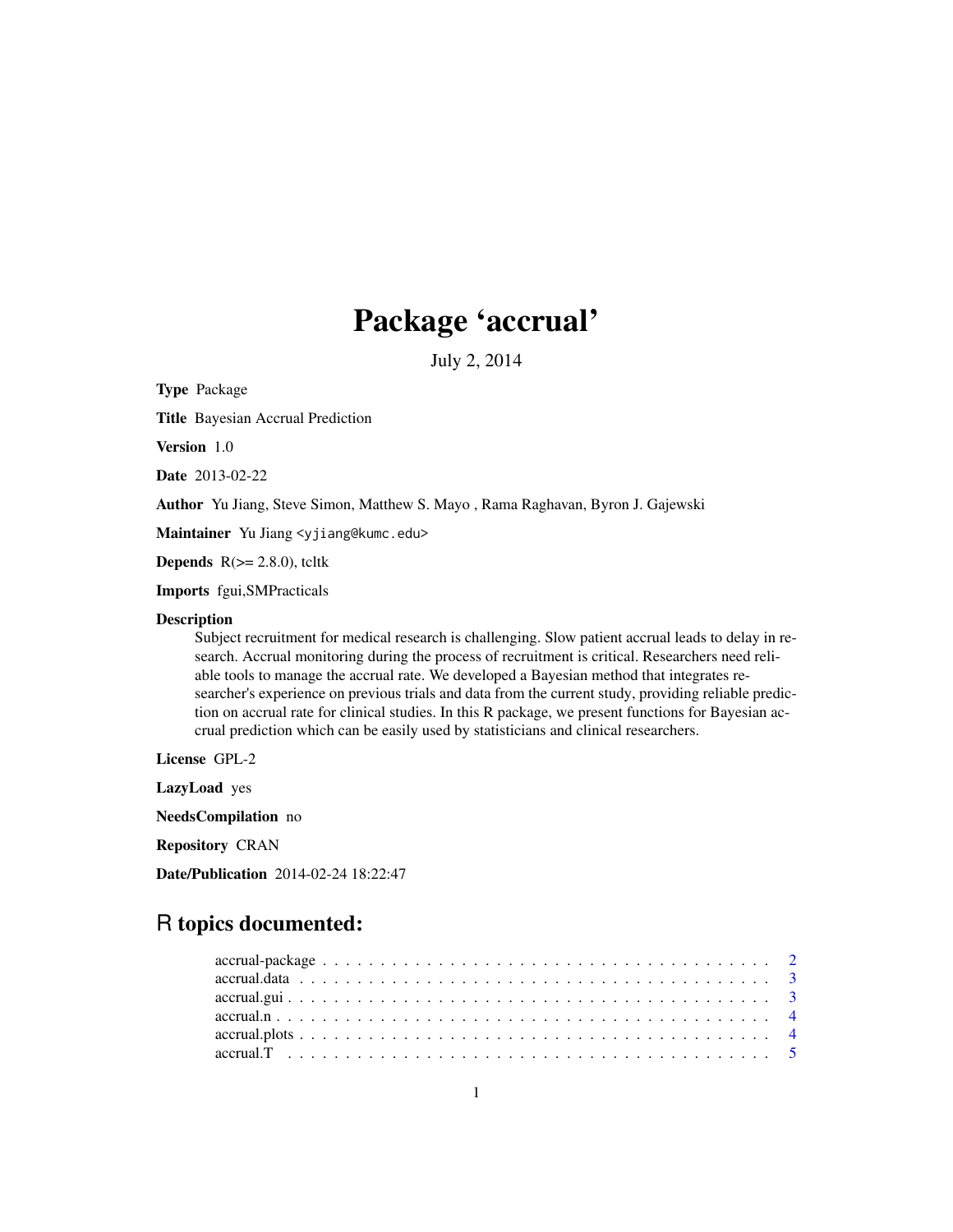## Package 'accrual'

July 2, 2014

Type Package

Title Bayesian Accrual Prediction

Version 1.0

Date 2013-02-22

Author Yu Jiang, Steve Simon, Matthew S. Mayo , Rama Raghavan, Byron J. Gajewski

Maintainer Yu Jiang <yjiang@kumc.edu>

**Depends**  $R$ ( $>= 2.8.0$ ), tcltk

Imports fgui,SMPracticals

#### Description

Subject recruitment for medical research is challenging. Slow patient accrual leads to delay in research. Accrual monitoring during the process of recruitment is critical. Researchers need reliable tools to manage the accrual rate. We developed a Bayesian method that integrates researcher's experience on previous trials and data from the current study, providing reliable prediction on accrual rate for clinical studies. In this R package, we present functions for Bayesian accrual prediction which can be easily used by statisticians and clinical researchers.

License GPL-2

LazyLoad yes

NeedsCompilation no

Repository CRAN

Date/Publication 2014-02-24 18:22:47

### R topics documented: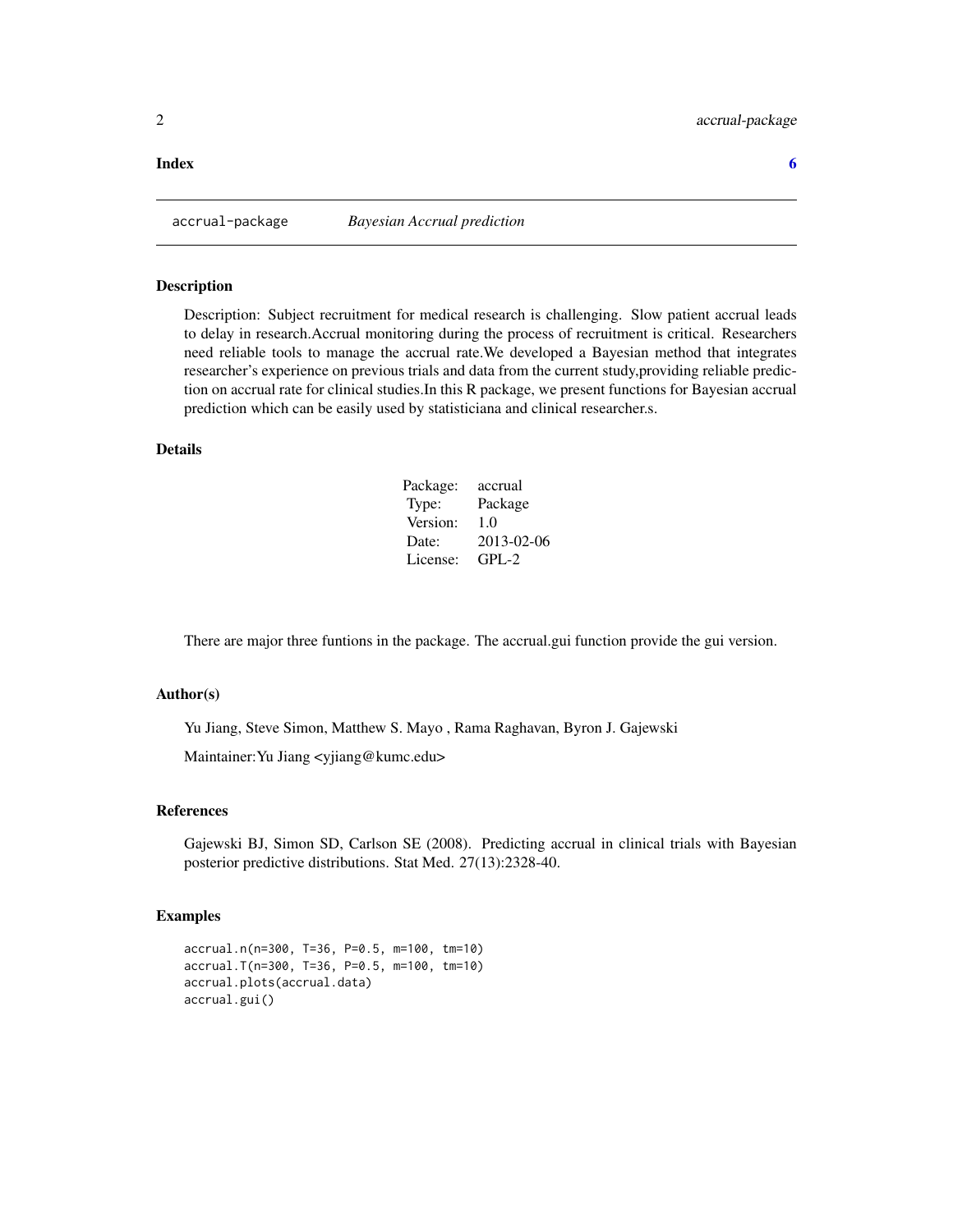#### <span id="page-1-0"></span>**Index** [6](#page-5-0) **6**

accrual-package *Bayesian Accrual prediction*

#### Description

Description: Subject recruitment for medical research is challenging. Slow patient accrual leads to delay in research.Accrual monitoring during the process of recruitment is critical. Researchers need reliable tools to manage the accrual rate.We developed a Bayesian method that integrates researcher's experience on previous trials and data from the current study,providing reliable prediction on accrual rate for clinical studies.In this R package, we present functions for Bayesian accrual prediction which can be easily used by statisticiana and clinical researcher.s.

#### Details

| Package: | accrual    |
|----------|------------|
| Type:    | Package    |
| Version: | 1.0        |
| Date:    | 2013-02-06 |
| License: | $GPI - 2$  |

There are major three funtions in the package. The accrual.gui function provide the gui version.

#### Author(s)

Yu Jiang, Steve Simon, Matthew S. Mayo , Rama Raghavan, Byron J. Gajewski

Maintainer:Yu Jiang <yjiang@kumc.edu>

#### References

Gajewski BJ, Simon SD, Carlson SE (2008). Predicting accrual in clinical trials with Bayesian posterior predictive distributions. Stat Med. 27(13):2328-40.

#### Examples

```
accrual.n(n=300, T=36, P=0.5, m=100, tm=10)
accrual.T(n=300, T=36, P=0.5, m=100, tm=10)
accrual.plots(accrual.data)
accrual.gui()
```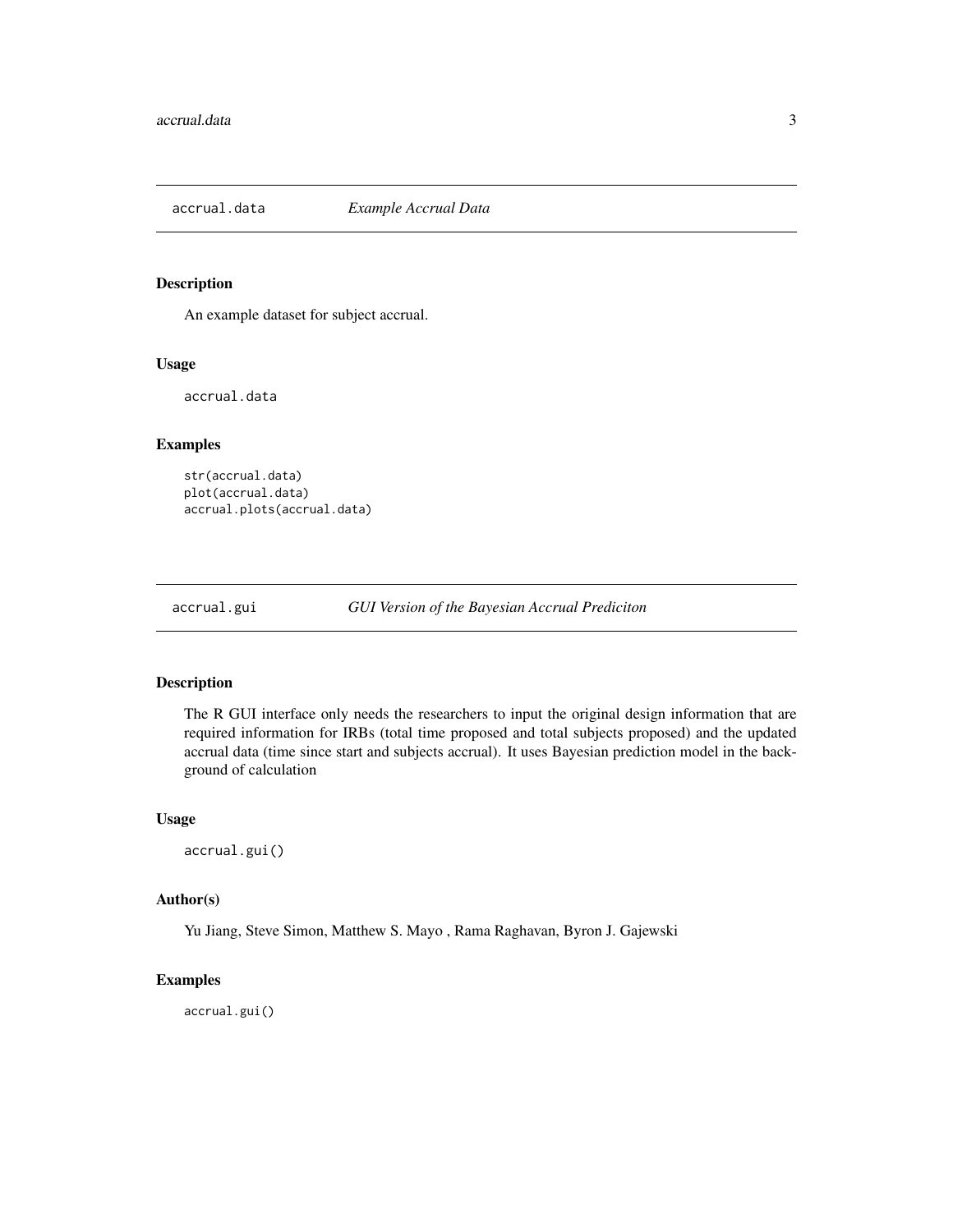<span id="page-2-0"></span>

#### Description

An example dataset for subject accrual.

#### Usage

accrual.data

#### Examples

str(accrual.data) plot(accrual.data) accrual.plots(accrual.data)

accrual.gui *GUI Version of the Bayesian Accrual Prediciton*

#### Description

The R GUI interface only needs the researchers to input the original design information that are required information for IRBs (total time proposed and total subjects proposed) and the updated accrual data (time since start and subjects accrual). It uses Bayesian prediction model in the background of calculation

#### Usage

accrual.gui()

#### Author(s)

Yu Jiang, Steve Simon, Matthew S. Mayo , Rama Raghavan, Byron J. Gajewski

#### Examples

accrual.gui()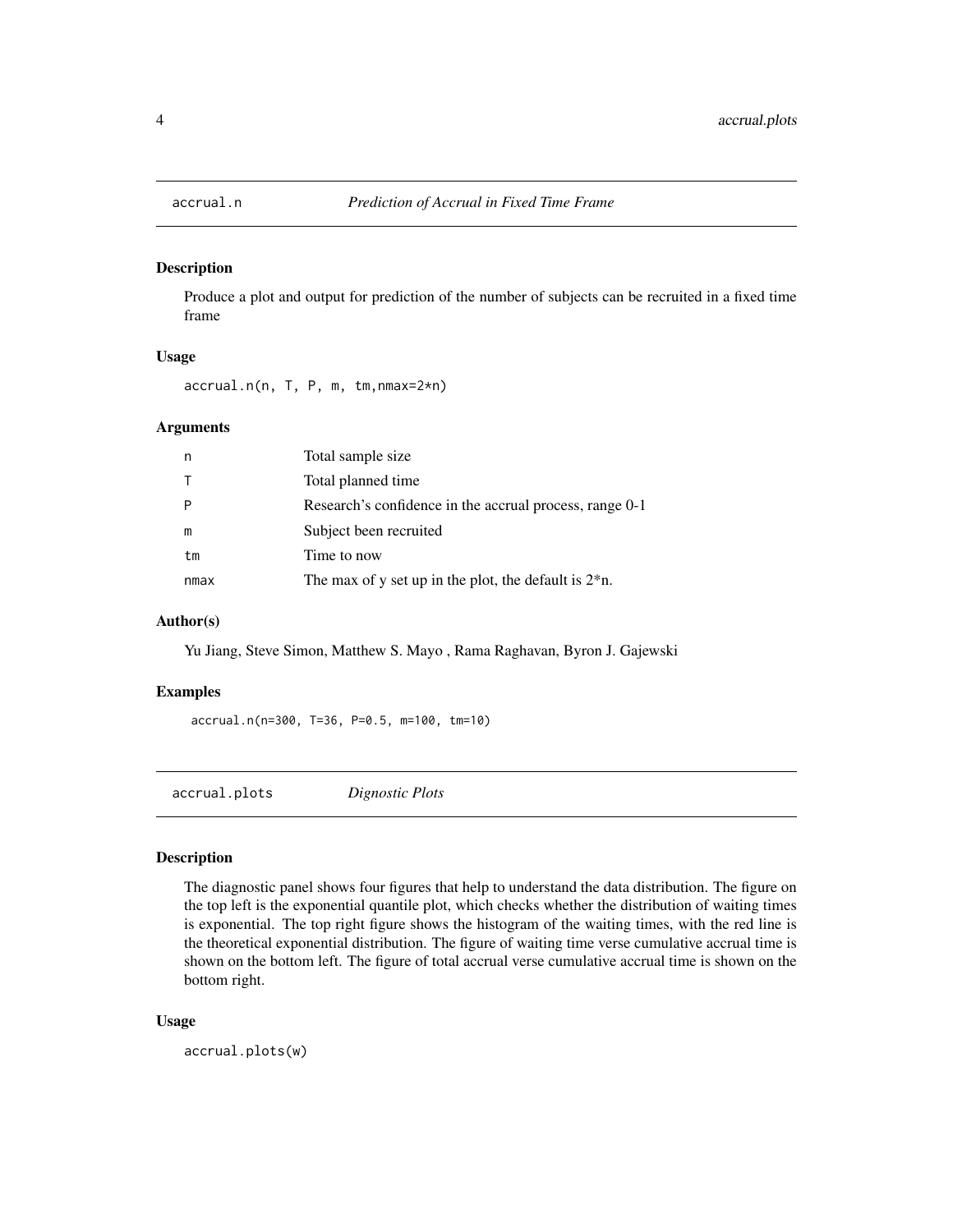<span id="page-3-0"></span>

#### Description

Produce a plot and output for prediction of the number of subjects can be recruited in a fixed time frame

#### Usage

accrual.n(n, T, P, m, tm,nmax=2\*n)

#### Arguments

| n    | Total sample size                                        |
|------|----------------------------------------------------------|
|      | Total planned time                                       |
|      | Research's confidence in the accrual process, range 0-1  |
| m    | Subject been recruited                                   |
| tm   | Time to now                                              |
| nmax | The max of y set up in the plot, the default is $2^*n$ . |

#### Author(s)

Yu Jiang, Steve Simon, Matthew S. Mayo , Rama Raghavan, Byron J. Gajewski

#### Examples

accrual.n(n=300, T=36, P=0.5, m=100, tm=10)

accrual.plots *Dignostic Plots*

#### Description

The diagnostic panel shows four figures that help to understand the data distribution. The figure on the top left is the exponential quantile plot, which checks whether the distribution of waiting times is exponential. The top right figure shows the histogram of the waiting times, with the red line is the theoretical exponential distribution. The figure of waiting time verse cumulative accrual time is shown on the bottom left. The figure of total accrual verse cumulative accrual time is shown on the bottom right.

#### Usage

accrual.plots(w)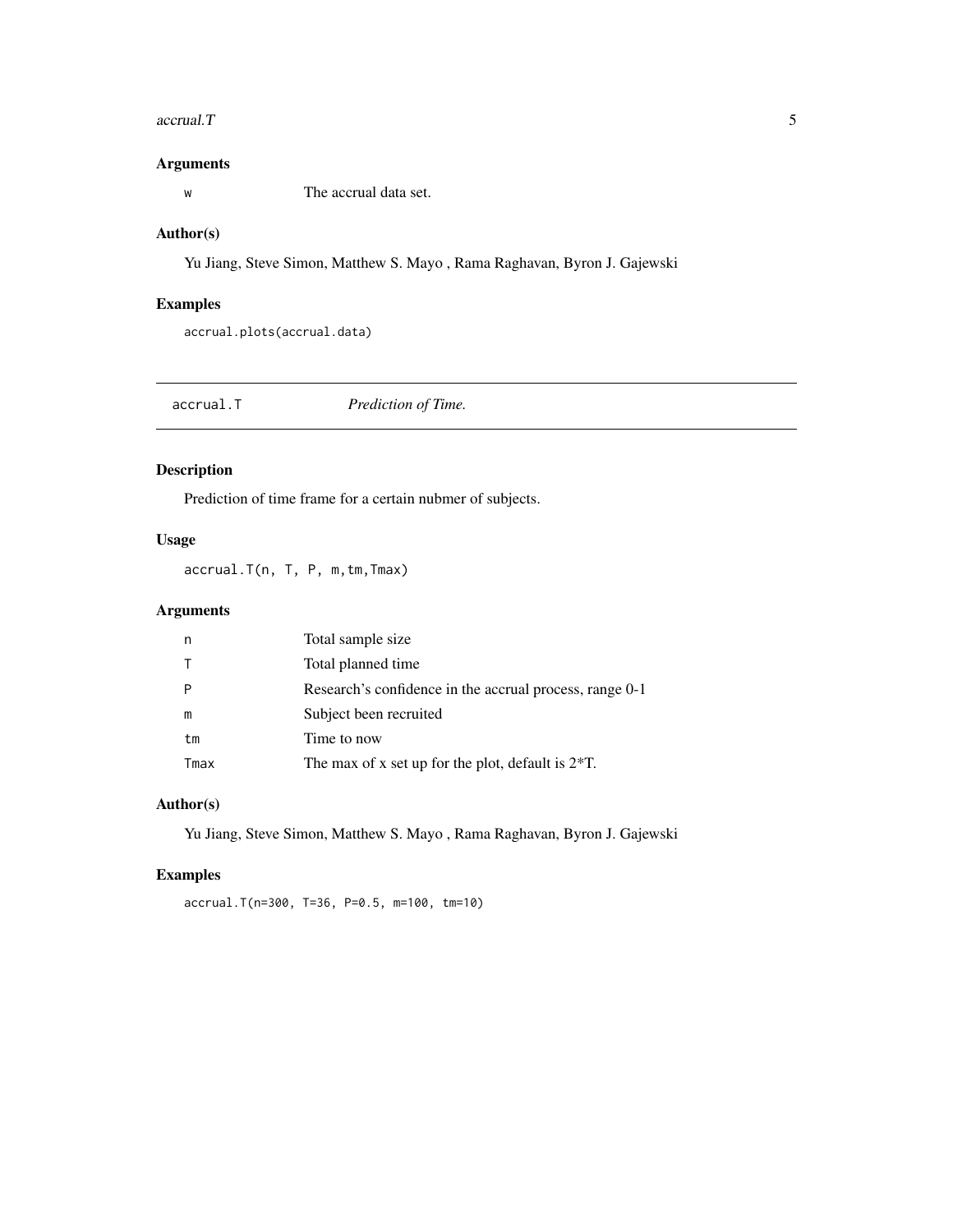#### <span id="page-4-0"></span> $\alpha$  accrual. T

#### Arguments

w The accrual data set.

#### Author(s)

Yu Jiang, Steve Simon, Matthew S. Mayo , Rama Raghavan, Byron J. Gajewski

#### Examples

accrual.plots(accrual.data)

accrual.T *Prediction of Time.*

#### Description

Prediction of time frame for a certain nubmer of subjects.

#### Usage

accrual.T(n, T, P, m,tm,Tmax)

#### Arguments

| n    | Total sample size                                       |
|------|---------------------------------------------------------|
|      | Total planned time                                      |
|      | Research's confidence in the accrual process, range 0-1 |
| m    | Subject been recruited                                  |
| tm   | Time to now                                             |
| Tmax | The max of x set up for the plot, default is $2*T$ .    |

#### Author(s)

Yu Jiang, Steve Simon, Matthew S. Mayo , Rama Raghavan, Byron J. Gajewski

#### Examples

accrual.T(n=300, T=36, P=0.5, m=100, tm=10)